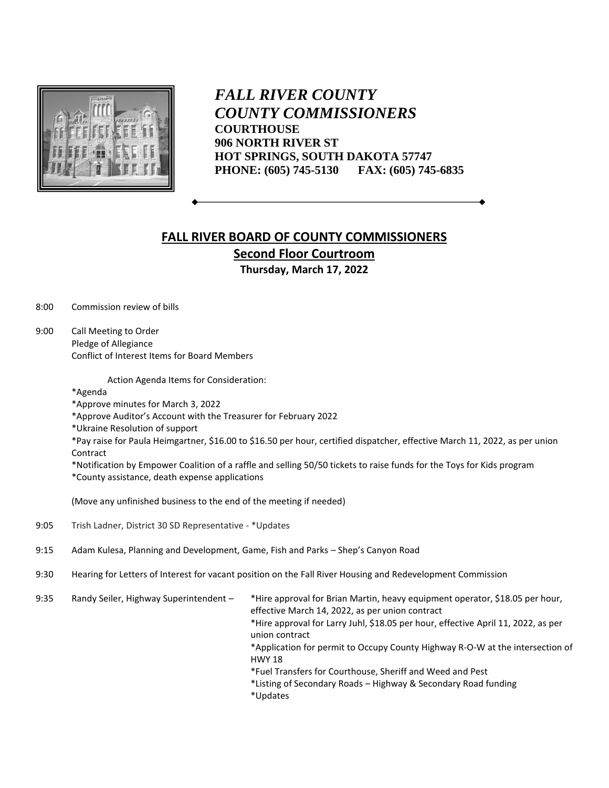

*FALL RIVER COUNTY COUNTY COMMISSIONERS* **COURTHOUSE 906 NORTH RIVER ST HOT SPRINGS, SOUTH DAKOTA 57747 PHONE: (605) 745-5130 FAX: (605) 745-6835**

## **FALL RIVER BOARD OF COUNTY COMMISSIONERS Second Floor Courtroom Thursday, March 17, 2022**

8:00 Commission review of bills

9:00 Call Meeting to Order Pledge of Allegiance Conflict of Interest Items for Board Members

Action Agenda Items for Consideration:

\*Agenda

- \*Approve minutes for March 3, 2022
- \*Approve Auditor's Account with the Treasurer for February 2022
- \*Ukraine Resolution of support

\*Pay raise for Paula Heimgartner, \$16.00 to \$16.50 per hour, certified dispatcher, effective March 11, 2022, as per union Contract

\*Notification by Empower Coalition of a raffle and selling 50/50 tickets to raise funds for the Toys for Kids program \*County assistance, death expense applications

(Move any unfinished business to the end of the meeting if needed)

- 9:05 Trish Ladner, District 30 SD Representative \*Updates
- 9:15 Adam Kulesa, Planning and Development, Game, Fish and Parks Shep's Canyon Road
- 9:30 Hearing for Letters of Interest for vacant position on the Fall River Housing and Redevelopment Commission

9:35 Randy Seiler, Highway Superintendent – \*Hire approval for Brian Martin, heavy equipment operator, \$18.05 per hour, effective March 14, 2022, as per union contract \*Hire approval for Larry Juhl, \$18.05 per hour, effective April 11, 2022, as per union contract \*Application for permit to Occupy County Highway R-O-W at the intersection of HWY 18 \*Fuel Transfers for Courthouse, Sheriff and Weed and Pest \*Listing of Secondary Roads – Highway & Secondary Road funding \*Updates